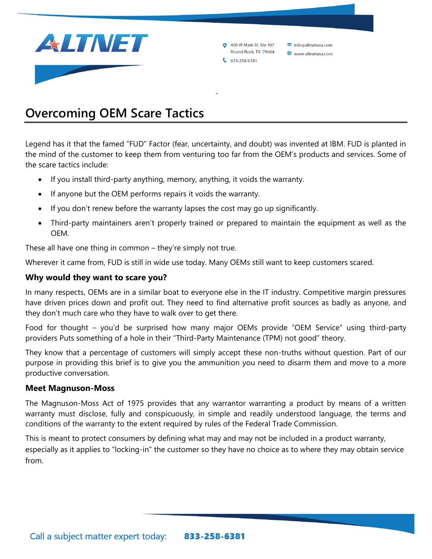

**0** 400 W Main St. Ste 107 info@altnetusa.com Round Rock, TX 78664 www.altnetusa.com  $833 - 258 - 6381$ 

# **Overcoming OEM Scare Tactics**

Legend has it that the famed "FUD" Factor (fear, uncertainty, and doubt) was invented at IBM. FUD is planted in the mind of the customer to keep them from venturing too far from the OEM's products and services. Some of the scare tactics include:

-

- If you install third-party anything, memory, anything, it voids the warranty.
- If anyone but the OEM performs repairs it voids the warranty.
- If you don't renew before the warranty lapses the cost may go up significantly.
- Third-party maintainers aren't properly trained or prepared to maintain the equipment as well as the OEM.

These all have one thing in common – they're simply not true.

Wherever it came from, FUD is still in wide use today. Many OEMs still want to keep customers scared.

#### **Why would they want to scare you?**

In many respects, OEMs are in a similar boat to everyone else in the IT industry. Competitive margin pressures have driven prices down and profit out. They need to find alternative profit sources as badly as anyone, and they don't much care who they have to walk over to get there.

Food for thought – you'd be surprised how many major OEMs provide "OEM Service" using [third-party](https://www.theregister.com/2018/03/06/hpe_to_cut_technician_jobs_as_field_work_outsourced_to_unisys/)  [providers](https://www.theregister.com/2018/03/06/hpe_to_cut_technician_jobs_as_field_work_outsourced_to_unisys/) Puts something of a hole in their "Third-Party Maintenance (TPM) not good" theory.

They know that a percentage of customers will simply accept these non-truths without question. Part of our purpose in providing this brief is to give you the ammunition you need to disarm them and move to a more productive conversation.

#### **Meet Magnuson-Moss**

The Magnuson-Moss Act of 1975 provides that any warrantor warranting a product by means of a written warranty must disclose, fully and conspicuously, in simple and readily understood language, the terms and conditions of the warranty to the extent required by rules of the Federal Trade Commission.

This is meant to protect consumers by defining what may and may not be included in a product warranty, especially as it applies to "locking-in" the customer so they have no choice as to where they may obtain service from.